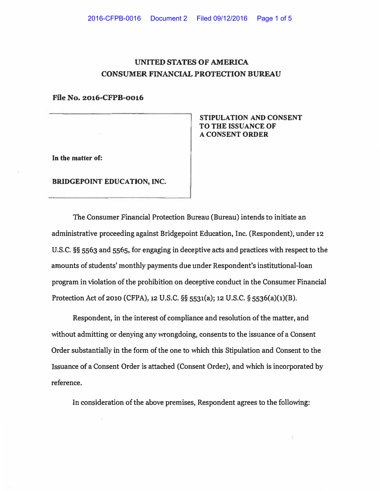## **UNITED STATES OF AMERICA CONSUMER FINANCIAL PROTECTION BUREAU**

**File No. 2016-CFPB-0016**

**In the matter of:** 

**BRIDGEPOINT EDUCATION, INC.** 

**STIPULATION AND CONSENT TO THE ISSUANCE OF A CONSENT ORDER** 

**The Consumer Financial Protection Bureau (Bureau) intends to initiate an administrative proceeding against Bridgepoint Education, Inc. (Respondent), under 12 U.S.C. §§ 5563 and 5565, for engaging in deceptive acts and practices with respect to the amounts of students' monthly payments due under Respondent's institutional-loan program in violation of the prohibition on deceptive conduct in the Consumer Financial Protection Act of 2010 (CFPA), 12 U.S.C. §§ 5531(a); 12 U.S.C. § 5536(a)(1)(B).** 

**Respondent, in the interest of compliance and resolution of the matter, and without admitting or denying any wrongdoing, consents to the issuance of a Consent Order substantially in the form of the one to which this Stipulation and Consent to the Issuance of a Consent Order is attached (Consent Order), and which is incorporated by reference.** 

**In consideration of the above premises, Respondent agrees to the following:**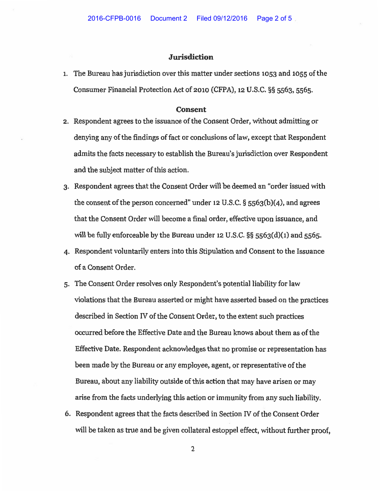## **Jurisdiction**

1. The Bureau has jurisdiction over this matter under sections 1053 and 1055 of the Consumer Financial Protection Act of 2010 (CFPA), 12 U.S.C. §§ 5563, 5565.

## **Consent**

- 2. Respondent agrees to the issuance of the Consent Order, without admitting or denying any of the findings of fact or conclusions of law, except that Respondent admits the facts necessary to establish the Bureau's jurisdiction over Respondent and the subject matter of this action.
- 3. Respondent agrees that the Consent Order will be deemed an "order issued with the consent of the person concerned" under 12 U.S.C.  $\S$  5563(b)(4), and agrees that the Consent Order will become a final order, effective upon issuance, and will be fully enforceable by the Bureau under 12 U.S.C.  $\S$ § 5563(d)(1) and 5565.
- 4. Respondent voluntarily enters into this Stipulation and Consent to the Issuance of a Consent Order.
- 5. The Consent Order resolves only Respondent's potential liability for law violations that the Bureau asserted or might have asserted based on the practices described in Section IV of the Consent Order, to the extent such practices occurred before the Effective Date and the Bureau knows about them as of the Effective Date. Respondent acknowledges that no promise or representation has been made by the Bureau or any employee, agent, or representative of the Bureau, about any liability outside of this action that may have arisen or may arise from the facts underlying this action or immunity from any such liability.
- 6. Respondent agrees that the facts described in Section IV of the Consent Order will be taken as true and be given collateral estoppel effect, without further proof,

2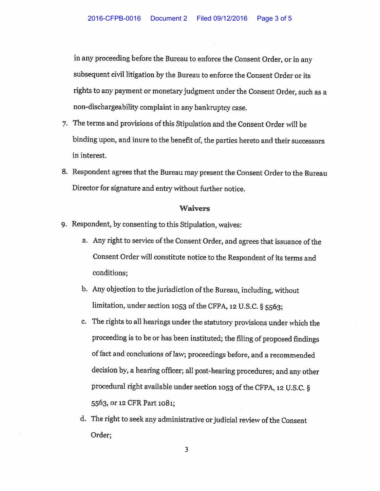in any proceeding before the Bureau to enforce the Consent Order, or in any subsequent civil litigation by the Bureau to enforce the Consent Order or its rights to any payment or monetary judgment under the Consent Order, such as a non-dischargeability complaint in any bankruptcy case.

- 7. The terms and provisions of this Stipulation and the Consent Order will be binding upon, and inure to the benefit of, the parties hereto and their successors in interest.
- 8. Respondent agrees that the Bureau may present the Consent Order to the Bureau Director for signature and entry without further notice.

## **Waivers**

- 9. Respondent, by consenting to this Stipulation, waives:
	- a. Any right to service of the Consent Order, and agrees that issuance of the Consent Order will constitute notice to the Respondent of its terms and conditions;
	- b. Any objection to the jurisdiction of the Bureau, including, without limitation, under section 1053 of the CFPA, 12 U.S.C. § 5563;
	- c. The rights to all hearings under the statutory provisions under which the proceeding is to be or has been instituted; the filing of proposed findings of fact and conclusions of law; proceedings before, and a recommended decision by, a hearing officer; all post-hearing procedures; and any other procedural right available under section 1053 of the CFPA, 12 U.S.C. § 5563, or 12 CFR Part 1081;
	- d. The right to seek any administrative or judicial review of the Consent Order;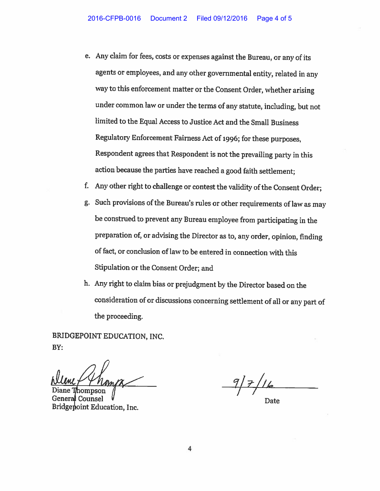- e. Any claim for fees, costs or expenses against the Bureau, or any of its agents or employees, and any other governmental entity, related in any way to this enforcement matter or the Consent Order, whether arising under common law or under the terms of any statute, including, but not limited to the Equal Access to Justice Act and the Small Business Regulatory Enforcement Fairness Act of 1996; for these purposes, Respondent agrees that Respondent is not the prevailing party in this action because the parties have reached a good faith settlement;
- f. Any other right to challenge or contest the validity of the Consent Order;
- g. Such provisions of the Bureau's rules or other requirements of law as may be construed to prevent any Bureau employee from participating in the preparation of, or advising the Director as to, any order, opinion, finding of fact, or conclusion of law to be entered in connection with this Stipulation or the Consent Order; and
- h. Any right to claim bias or prejudgment by the Director based on the consideration of or discussions concerning settlement of all or any part of the proceeding.

BRIDGEPOINT EDUCATION, INC. BY:

Bridgepoint Education, Inc.

Date